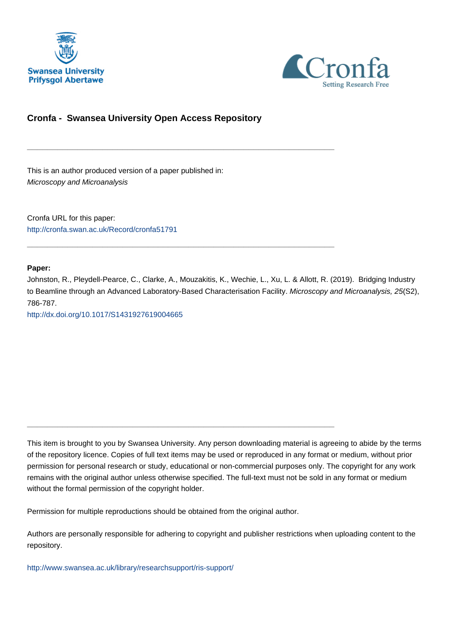



## **Cronfa - Swansea University Open Access Repository**

\_\_\_\_\_\_\_\_\_\_\_\_\_\_\_\_\_\_\_\_\_\_\_\_\_\_\_\_\_\_\_\_\_\_\_\_\_\_\_\_\_\_\_\_\_\_\_\_\_\_\_\_\_\_\_\_\_\_\_\_\_

\_\_\_\_\_\_\_\_\_\_\_\_\_\_\_\_\_\_\_\_\_\_\_\_\_\_\_\_\_\_\_\_\_\_\_\_\_\_\_\_\_\_\_\_\_\_\_\_\_\_\_\_\_\_\_\_\_\_\_\_\_

This is an author produced version of a paper published in: Microscopy and Microanalysis

Cronfa URL for this paper: <http://cronfa.swan.ac.uk/Record/cronfa51791>

**Paper:**

Johnston, R., Pleydell-Pearce, C., Clarke, A., Mouzakitis, K., Wechie, L., Xu, L. & Allott, R. (2019). Bridging Industry to Beamline through an Advanced Laboratory-Based Characterisation Facility. Microscopy and Microanalysis, 25(S2), 786-787.

<http://dx.doi.org/10.1017/S1431927619004665>

This item is brought to you by Swansea University. Any person downloading material is agreeing to abide by the terms of the repository licence. Copies of full text items may be used or reproduced in any format or medium, without prior permission for personal research or study, educational or non-commercial purposes only. The copyright for any work remains with the original author unless otherwise specified. The full-text must not be sold in any format or medium without the formal permission of the copyright holder.

Permission for multiple reproductions should be obtained from the original author.

\_\_\_\_\_\_\_\_\_\_\_\_\_\_\_\_\_\_\_\_\_\_\_\_\_\_\_\_\_\_\_\_\_\_\_\_\_\_\_\_\_\_\_\_\_\_\_\_\_\_\_\_\_\_\_\_\_\_\_\_\_

Authors are personally responsible for adhering to copyright and publisher restrictions when uploading content to the repository.

[http://www.swansea.ac.uk/library/researchsupport/ris-support/](http://www.swansea.ac.uk/library/researchsupport/ris-support/ )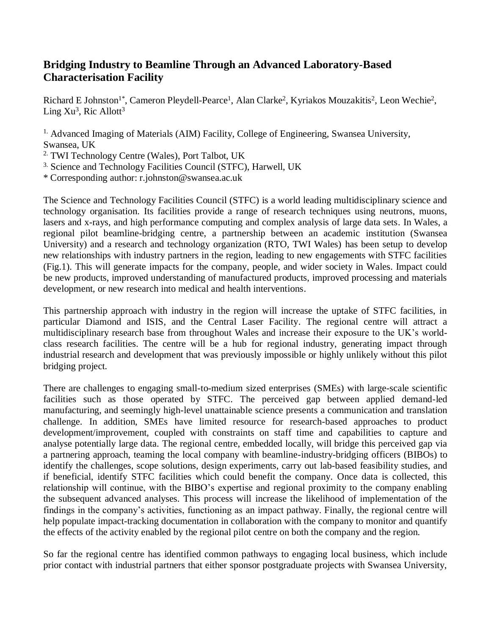## **Bridging Industry to Beamline Through an Advanced Laboratory-Based Characterisation Facility**

Richard E Johnston<sup>1\*</sup>, Cameron Pleydell-Pearce<sup>1</sup>, Alan Clarke<sup>2</sup>, Kyriakos Mouzakitis<sup>2</sup>, Leon Wechie<sup>2</sup>, Ling  $Xu^3$ , Ric Allott<sup>3</sup>

<sup>1.</sup> Advanced Imaging of Materials (AIM) Facility, College of Engineering, Swansea University, Swansea, UK

2. TWI Technology Centre (Wales), Port Talbot, UK

3. Science and Technology Facilities Council (STFC), Harwell, UK

\* Corresponding author: r.johnston@swansea.ac.uk

The Science and Technology Facilities Council (STFC) is a world leading multidisciplinary science and technology organisation. Its facilities provide a range of research techniques using neutrons, muons, lasers and x-rays, and high performance computing and complex analysis of large data sets. In Wales, a regional pilot beamline-bridging centre, a partnership between an academic institution (Swansea University) and a research and technology organization (RTO, TWI Wales) has been setup to develop new relationships with industry partners in the region, leading to new engagements with STFC facilities (Fig.1). This will generate impacts for the company, people, and wider society in Wales. Impact could be new products, improved understanding of manufactured products, improved processing and materials development, or new research into medical and health interventions.

This partnership approach with industry in the region will increase the uptake of STFC facilities, in particular Diamond and ISIS, and the Central Laser Facility. The regional centre will attract a multidisciplinary research base from throughout Wales and increase their exposure to the UK's worldclass research facilities. The centre will be a hub for regional industry, generating impact through industrial research and development that was previously impossible or highly unlikely without this pilot bridging project.

There are challenges to engaging small-to-medium sized enterprises (SMEs) with large-scale scientific facilities such as those operated by STFC. The perceived gap between applied demand-led manufacturing, and seemingly high-level unattainable science presents a communication and translation challenge. In addition, SMEs have limited resource for research-based approaches to product development/improvement, coupled with constraints on staff time and capabilities to capture and analyse potentially large data. The regional centre, embedded locally, will bridge this perceived gap via a partnering approach, teaming the local company with beamline-industry-bridging officers (BIBOs) to identify the challenges, scope solutions, design experiments, carry out lab-based feasibility studies, and if beneficial, identify STFC facilities which could benefit the company. Once data is collected, this relationship will continue, with the BIBO's expertise and regional proximity to the company enabling the subsequent advanced analyses. This process will increase the likelihood of implementation of the findings in the company's activities, functioning as an impact pathway. Finally, the regional centre will help populate impact-tracking documentation in collaboration with the company to monitor and quantify the effects of the activity enabled by the regional pilot centre on both the company and the region.

So far the regional centre has identified common pathways to engaging local business, which include prior contact with industrial partners that either sponsor postgraduate projects with Swansea University,